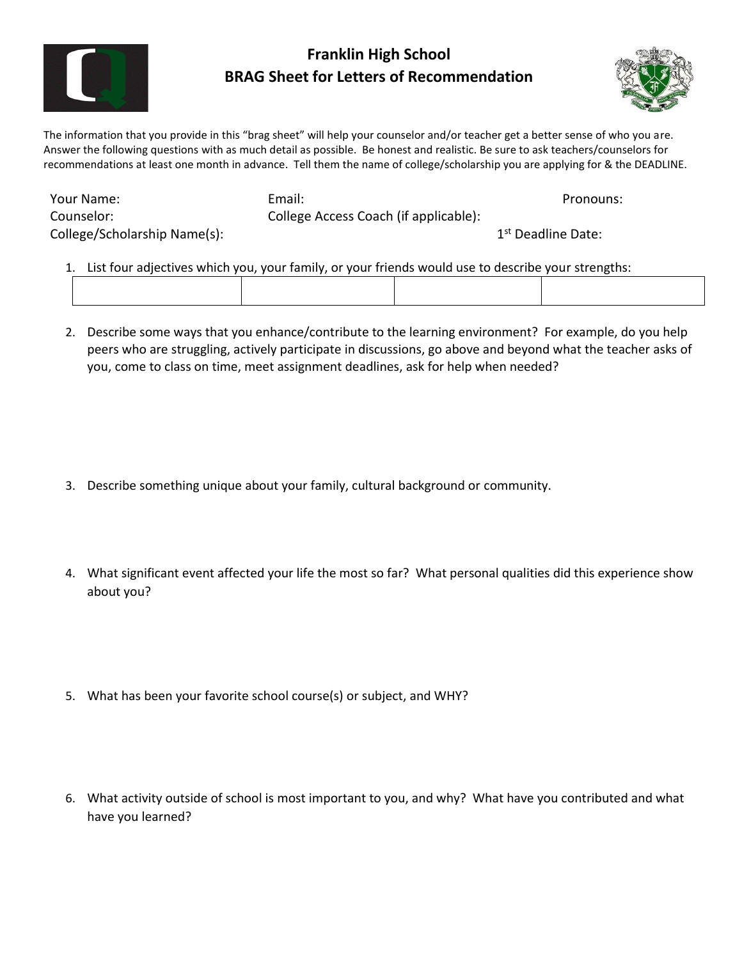

## **Franklin High School BRAG Sheet for Letters of Recommendation**



The information that you provide in this "brag sheet" will help your counselor and/or teacher get a better sense of who you are. Answer the following questions with as much detail as possible. Be honest and realistic. Be sure to ask teachers/counselors for recommendations at least one month in advance. Tell them the name of college/scholarship you are applying for & the DEADLINE.

| Your Name:                   | Email:                                | Pronouns:                      |
|------------------------------|---------------------------------------|--------------------------------|
| Counselor:                   | College Access Coach (if applicable): |                                |
| College/Scholarship Name(s): |                                       | 1 <sup>st</sup> Deadline Date: |

- 1. List four adjectives which you, your family, or your friends would use to describe your strengths:
- 2. Describe some ways that you enhance/contribute to the learning environment? For example, do you help peers who are struggling, actively participate in discussions, go above and beyond what the teacher asks of you, come to class on time, meet assignment deadlines, ask for help when needed?

- 3. Describe something unique about your family, cultural background or community.
- 4. What significant event affected your life the most so far? What personal qualities did this experience show about you?
- 5. What has been your favorite school course(s) or subject, and WHY?
- 6. What activity outside of school is most important to you, and why? What have you contributed and what have you learned?